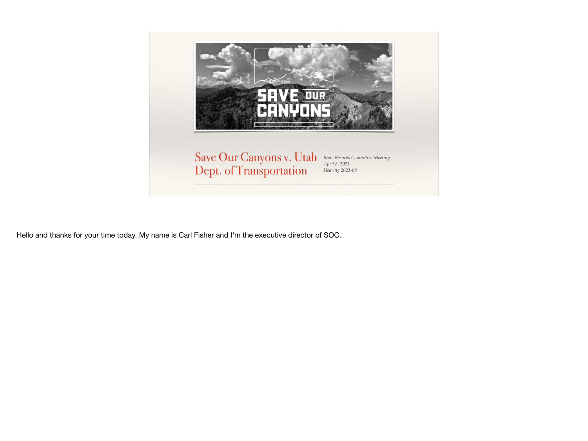

Hello and thanks for your time today. My name is Carl Fisher and I'm the executive director of SOC.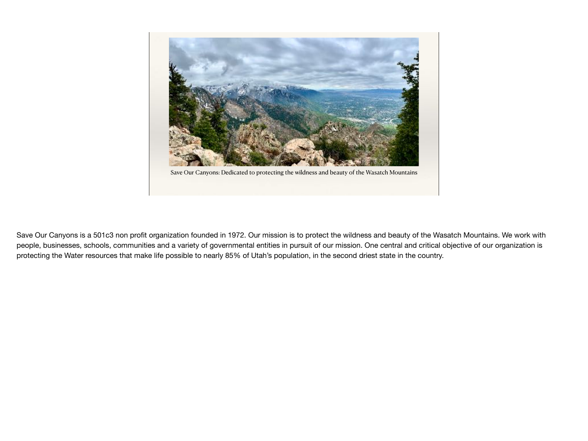

Save Our Canyons: Dedicated to protecting the wildness and beauty of the Wasatch Mountains

Save Our Canyons is a 501c3 non profit organization founded in 1972. Our mission is to protect the wildness and beauty of the Wasatch Mountains. We work with people, businesses, schools, communities and a variety of governmental entities in pursuit of our mission. One central and critical objective of our organization is protecting the Water resources that make life possible to nearly 85% of Utah's population, in the second driest state in the country.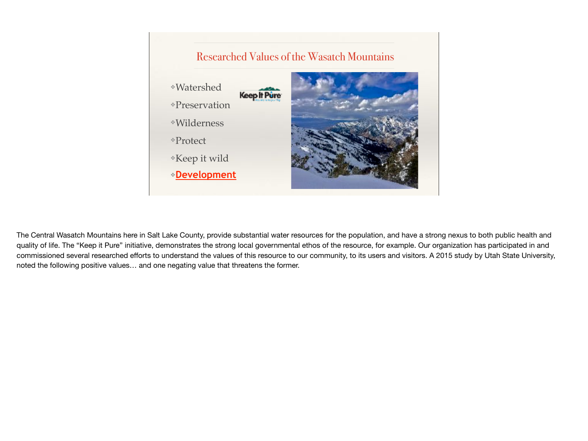

The Central Wasatch Mountains here in Salt Lake County, provide substantial water resources for the population, and have a strong nexus to both public health and quality of life. The "Keep it Pure" initiative, demonstrates the strong local governmental ethos of the resource, for example. Our organization has participated in and commissioned several researched efforts to understand the values of this resource to our community, to its users and visitors. A 2015 study by Utah State University, noted the following positive values… and one negating value that threatens the former.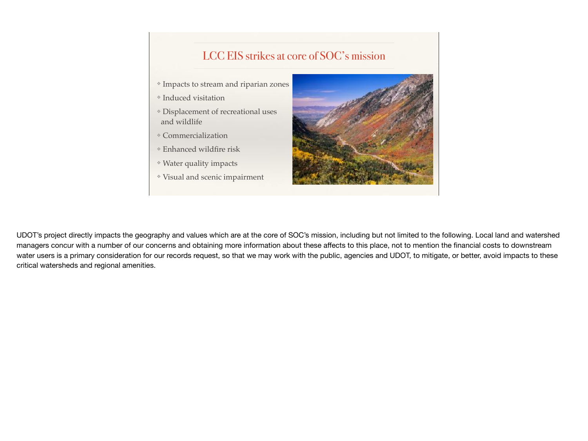### LCC EIS strikes at core of SOC's mission

- ❖ Impacts to stream and riparian zones
- ❖ Induced visitation
- ❖ Displacement of recreational uses and wildlife
- ❖ Commercialization
- ❖ Enhanced wildfire risk
- ❖ Water quality impacts
- ❖ Visual and scenic impairment



UDOT's project directly impacts the geography and values which are at the core of SOC's mission, including but not limited to the following. Local land and watershed managers concur with a number of our concerns and obtaining more information about these affects to this place, not to mention the financial costs to downstream water users is a primary consideration for our records request, so that we may work with the public, agencies and UDOT, to mitigate, or better, avoid impacts to these critical watersheds and regional amenities.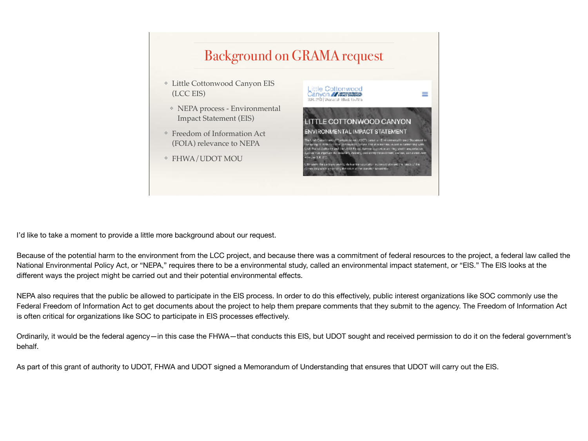# Background on GRAMA request

- ❖ Little Cottonwood Canyon EIS (LCC EIS)
- ❖ NEPA process Environmental Impact Statement (EIS)
- ❖ Freedom of Information Act (FOIA) relevance to NEPA
- ❖ FHWA/UDOT MOU



I'd like to take a moment to provide a little more background about our request.

Because of the potential harm to the environment from the LCC project, and because there was a commitment of federal resources to the project, a federal law called the National Environmental Policy Act, or "NEPA," requires there to be a environmental study, called an environmental impact statement, or "EIS." The EIS looks at the different ways the project might be carried out and their potential environmental effects.

NEPA also requires that the public be allowed to participate in the EIS process. In order to do this effectively, public interest organizations like SOC commonly use the Federal Freedom of Information Act to get documents about the project to help them prepare comments that they submit to the agency. The Freedom of Information Act is often critical for organizations like SOC to participate in EIS processes effectively.

Ordinarily, it would be the federal agency—in this case the FHWA—that conducts this EIS, but UDOT sought and received permission to do it on the federal government's behalf.

As part of this grant of authority to UDOT, FHWA and UDOT signed a Memorandum of Understanding that ensures that UDOT will carry out the EIS.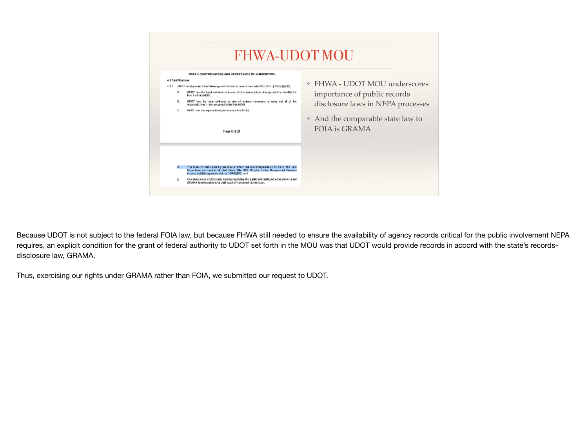

Because UDOT is not subject to the federal FOIA law, but because FHWA still needed to ensure the availability of agency records critical for the public involvement NEPA requires, an explicit condition for the grant of federal authority to UDOT set forth in the MOU was that UDOT would provide records in accord with the state's recordsdisclosure law, GRAMA.

Thus, exercising our rights under GRAMA rather than FOIA, we submitted our request to UDOT.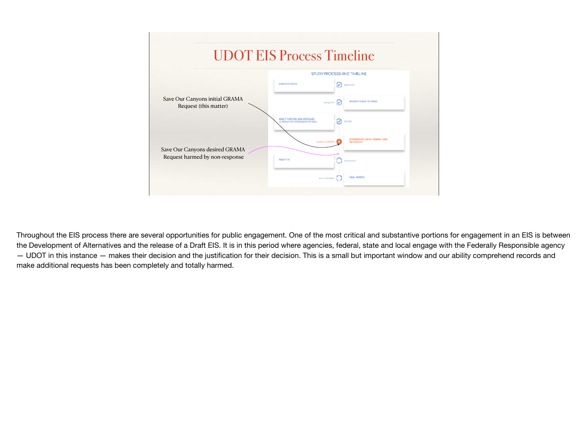

Throughout the EIS process there are several opportunities for public engagement. One of the most critical and substantive portions for engagement in an EIS is between the Development of Alternatives and the release of a Draft EIS. It is in this period where agencies, federal, state and local engage with the Federally Responsible agency — UDOT in this instance — makes their decision and the justification for their decision. This is a small but important window and our ability comprehend records and make additional requests has been completely and totally harmed.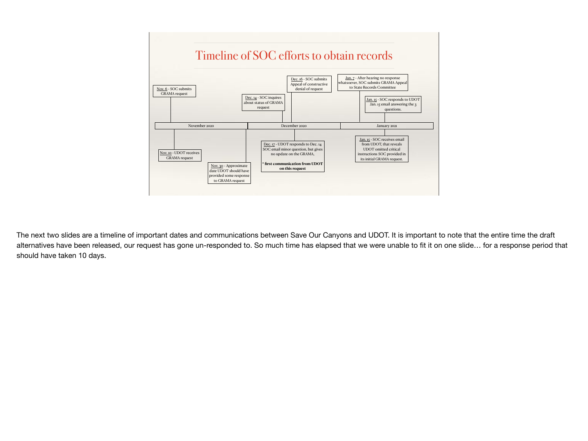

The next two slides are a timeline of important dates and communications between Save Our Canyons and UDOT. It is important to note that the entire time the draft alternatives have been released, our request has gone un-responded to. So much time has elapsed that we were unable to fit it on one slide… for a response period that should have taken 10 days.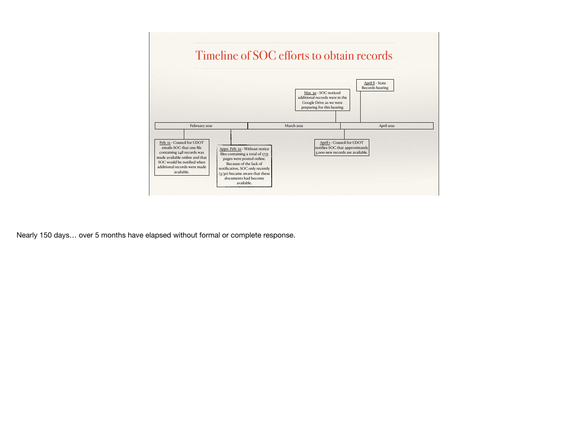

Nearly 150 days… over 5 months have elapsed without formal or complete response.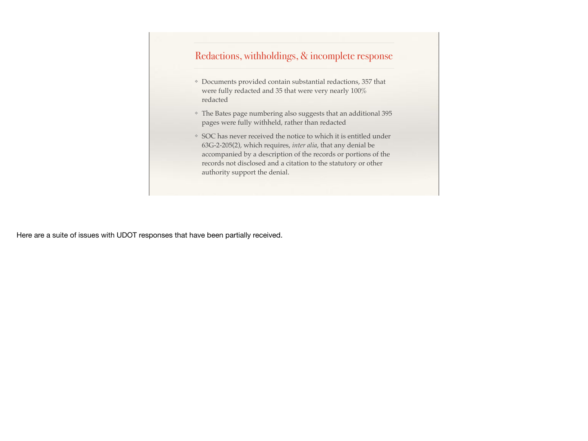#### Redactions, withholdings, & incomplete response

- ❖ Documents provided contain substantial redactions, 357 that were fully redacted and 35 that were very nearly 100% redacted
- ❖ The Bates page numbering also suggests that an additional 395 pages were fully withheld, rather than redacted
- ❖ SOC has never received the notice to which it is entitled under 63G-2-205(2), which requires, *inter alia*, that any denial be accompanied by a description of the records or portions of the records not disclosed and a citation to the statutory or other authority support the denial.

Here are a suite of issues with UDOT responses that have been partially received.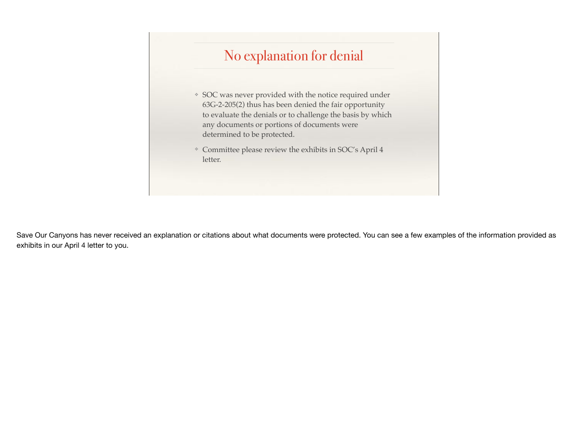### No explanation for denial

- ❖ SOC was never provided with the notice required under 63G-2-205(2) thus has been denied the fair opportunity to evaluate the denials or to challenge the basis by which any documents or portions of documents were determined to be protected.
- ❖ Committee please review the exhibits in SOC's April 4 letter.

Save Our Canyons has never received an explanation or citations about what documents were protected. You can see a few examples of the information provided as exhibits in our April 4 letter to you.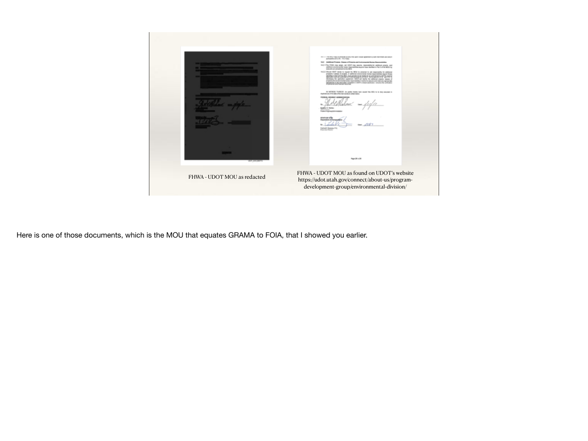

Here is one of those documents, which is the MOU that equates GRAMA to FOIA, that I showed you earlier.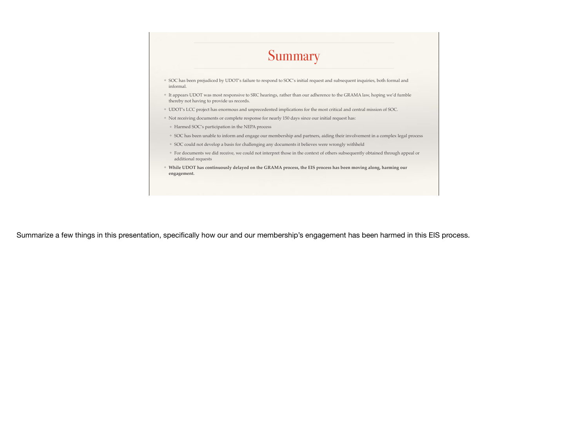

Summarize a few things in this presentation, specifically how our and our membership's engagement has been harmed in this EIS process.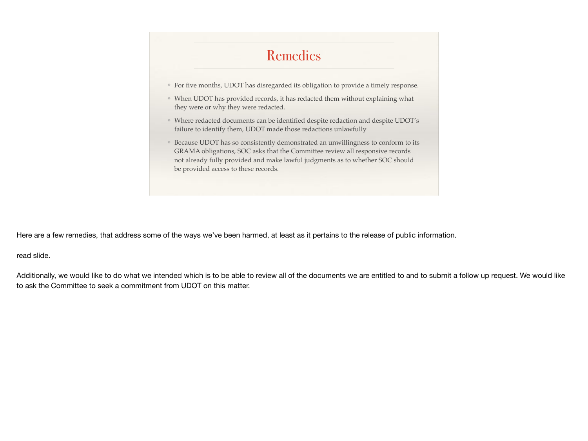## Remedies

- ❖ For five months, UDOT has disregarded its obligation to provide a timely response.
- ❖ When UDOT has provided records, it has redacted them without explaining what they were or why they were redacted.
- ❖ Where redacted documents can be identified despite redaction and despite UDOT's failure to identify them, UDOT made those redactions unlawfully
- ❖ Because UDOT has so consistently demonstrated an unwillingness to conform to its GRAMA obligations, SOC asks that the Committee review all responsive records not already fully provided and make lawful judgments as to whether SOC should be provided access to these records.

Here are a few remedies, that address some of the ways we've been harmed, at least as it pertains to the release of public information.

read slide.

Additionally, we would like to do what we intended which is to be able to review all of the documents we are entitled to and to submit a follow up request. We would like to ask the Committee to seek a commitment from UDOT on this matter.